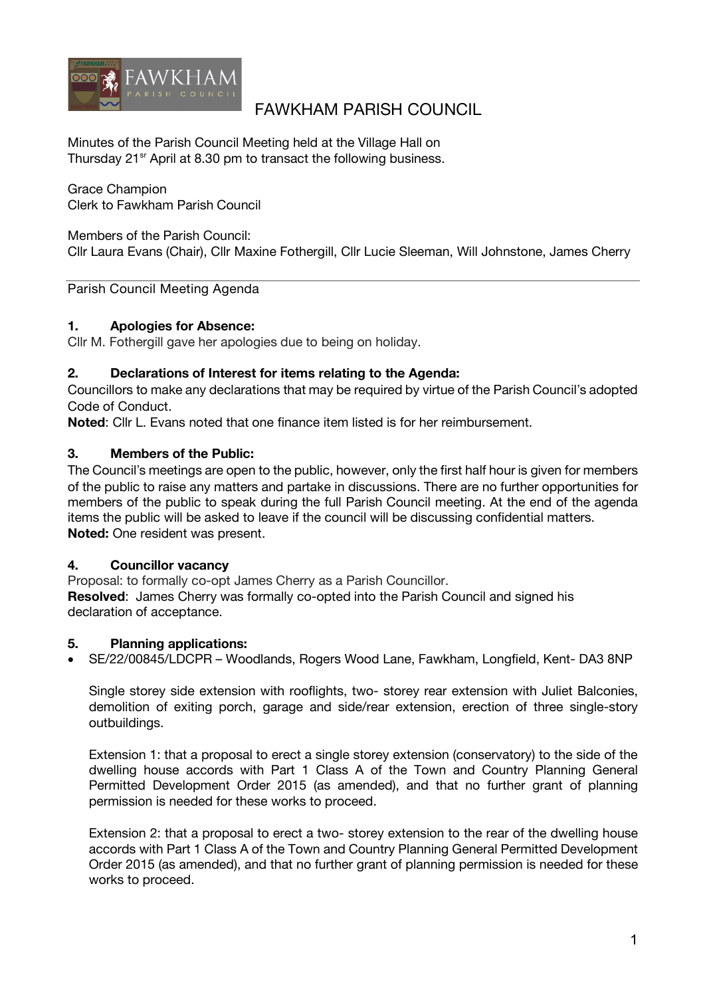

# FAWKHAM PARISH COUNCIL

Minutes of the Parish Council Meeting held at the Village Hall on Thursday 21<sup>sr</sup> April at 8.30 pm to transact the following business.

Grace Champion Clerk to Fawkham Parish Council

Members of the Parish Council:

Cllr Laura Evans (Chair), Cllr Maxine Fothergill, Cllr Lucie Sleeman, Will Johnstone, James Cherry

Parish Council Meeting Agenda

#### **1. Apologies for Absence:**

Cllr M. Fothergill gave her apologies due to being on holiday.

#### **2. Declarations of Interest for items relating to the Agenda:**

Councillors to make any declarations that may be required by virtue of the Parish Council's adopted Code of Conduct.

**Noted**: Cllr L. Evans noted that one finance item listed is for her reimbursement.

### **3. Members of the Public:**

The Council's meetings are open to the public, however, only the first half hour is given for members of the public to raise any matters and partake in discussions. There are no further opportunities for members of the public to speak during the full Parish Council meeting. At the end of the agenda items the public will be asked to leave if the council will be discussing confidential matters. **Noted:** One resident was present.

#### **4. Councillor vacancy**

Proposal: to formally co-opt James Cherry as a Parish Councillor. **Resolved**: James Cherry was formally co-opted into the Parish Council and signed his declaration of acceptance.

#### **5. Planning applications:**

• SE/22/00845/LDCPR – Woodlands, Rogers Wood Lane, Fawkham, Longfield, Kent- DA3 8NP

Single storey side extension with rooflights, two- storey rear extension with Juliet Balconies, demolition of exiting porch, garage and side/rear extension, erection of three single-story outbuildings.

Extension 1: that a proposal to erect a single storey extension (conservatory) to the side of the dwelling house accords with Part 1 Class A of the Town and Country Planning General Permitted Development Order 2015 (as amended), and that no further grant of planning permission is needed for these works to proceed.

Extension 2: that a proposal to erect a two- storey extension to the rear of the dwelling house accords with Part 1 Class A of the Town and Country Planning General Permitted Development Order 2015 (as amended), and that no further grant of planning permission is needed for these works to proceed.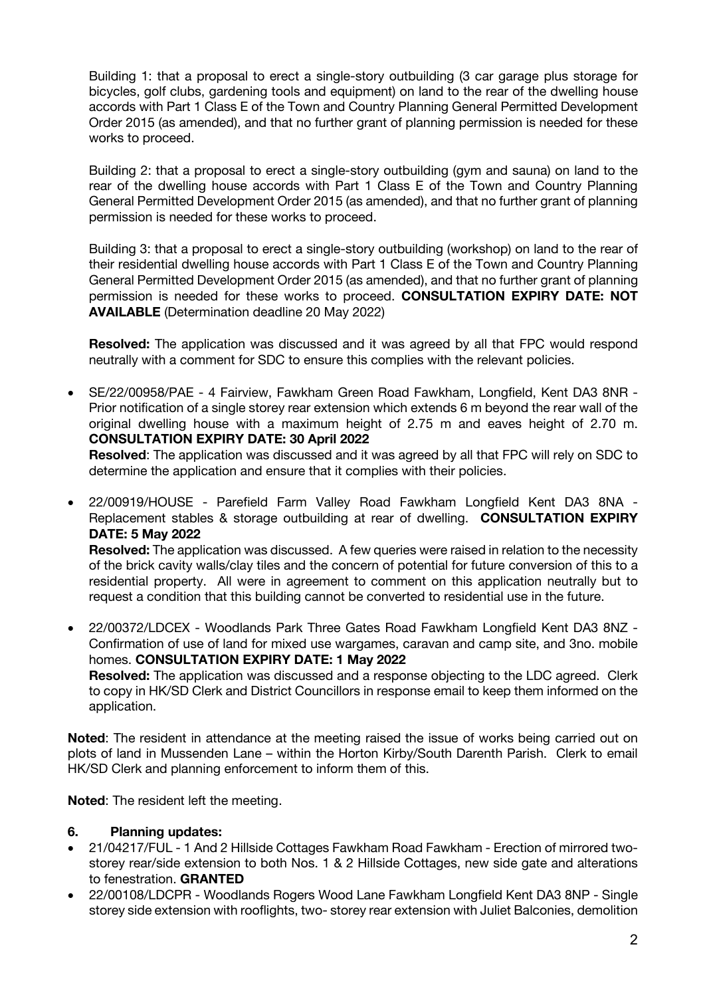Building 1: that a proposal to erect a single-story outbuilding (3 car garage plus storage for bicycles, golf clubs, gardening tools and equipment) on land to the rear of the dwelling house accords with Part 1 Class E of the Town and Country Planning General Permitted Development Order 2015 (as amended), and that no further grant of planning permission is needed for these works to proceed.

Building 2: that a proposal to erect a single-story outbuilding (gym and sauna) on land to the rear of the dwelling house accords with Part 1 Class E of the Town and Country Planning General Permitted Development Order 2015 (as amended), and that no further grant of planning permission is needed for these works to proceed.

Building 3: that a proposal to erect a single-story outbuilding (workshop) on land to the rear of their residential dwelling house accords with Part 1 Class E of the Town and Country Planning General Permitted Development Order 2015 (as amended), and that no further grant of planning permission is needed for these works to proceed. **CONSULTATION EXPIRY DATE: NOT AVAILABLE** (Determination deadline 20 May 2022)

**Resolved:** The application was discussed and it was agreed by all that FPC would respond neutrally with a comment for SDC to ensure this complies with the relevant policies.

• SE/22/00958/PAE - 4 Fairview, Fawkham Green Road Fawkham, Longfield, Kent DA3 8NR - Prior notification of a single storey rear extension which extends 6 m beyond the rear wall of the original dwelling house with a maximum height of 2.75 m and eaves height of 2.70 m. **CONSULTATION EXPIRY DATE: 30 April 2022**

**Resolved**: The application was discussed and it was agreed by all that FPC will rely on SDC to determine the application and ensure that it complies with their policies.

- 22/00919/HOUSE Parefield Farm Valley Road Fawkham Longfield Kent DA3 8NA Replacement stables & storage outbuilding at rear of dwelling. **CONSULTATION EXPIRY DATE: 5 May 2022 Resolved:** The application was discussed. A few queries were raised in relation to the necessity of the brick cavity walls/clay tiles and the concern of potential for future conversion of this to a residential property. All were in agreement to comment on this application neutrally but to request a condition that this building cannot be converted to residential use in the future.
- 22/00372/LDCEX Woodlands Park Three Gates Road Fawkham Longfield Kent DA3 8NZ Confirmation of use of land for mixed use wargames, caravan and camp site, and 3no. mobile homes. **CONSULTATION EXPIRY DATE: 1 May 2022**

**Resolved:** The application was discussed and a response objecting to the LDC agreed. Clerk to copy in HK/SD Clerk and District Councillors in response email to keep them informed on the application.

**Noted**: The resident in attendance at the meeting raised the issue of works being carried out on plots of land in Mussenden Lane – within the Horton Kirby/South Darenth Parish. Clerk to email HK/SD Clerk and planning enforcement to inform them of this.

**Noted**: The resident left the meeting.

#### **6. Planning updates:**

- 21/04217/FUL 1 And 2 Hillside Cottages Fawkham Road Fawkham Erection of mirrored twostorey rear/side extension to both Nos. 1 & 2 Hillside Cottages, new side gate and alterations to fenestration. **GRANTED**
- 22/00108/LDCPR Woodlands Rogers Wood Lane Fawkham Longfield Kent DA3 8NP Single storey side extension with rooflights, two- storey rear extension with Juliet Balconies, demolition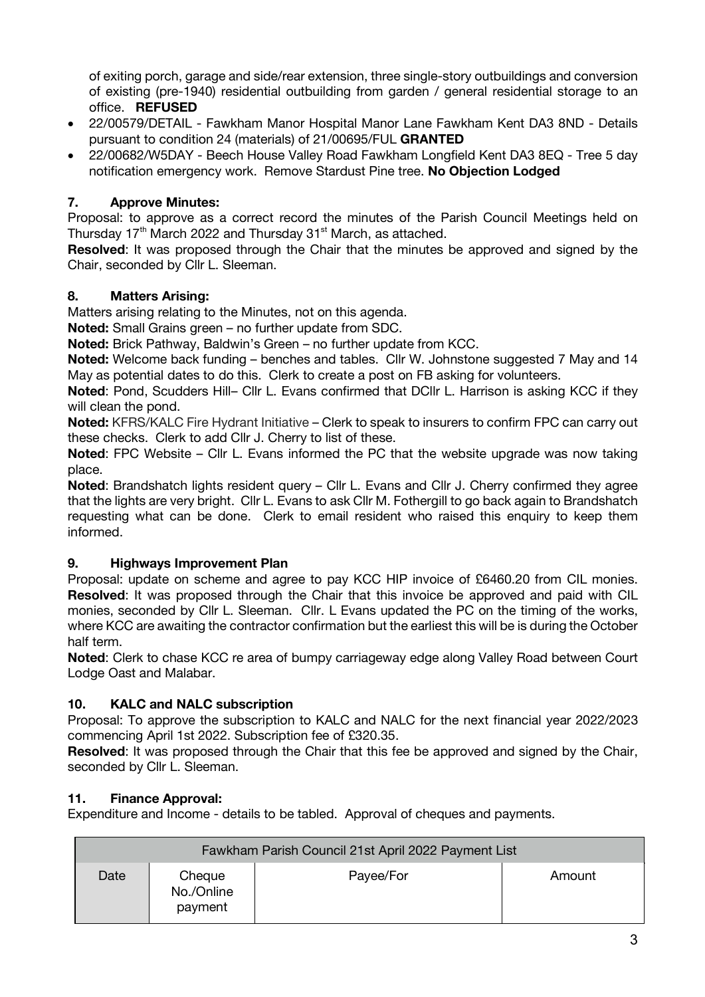of exiting porch, garage and side/rear extension, three single-story outbuildings and conversion of existing (pre-1940) residential outbuilding from garden / general residential storage to an office. **REFUSED**

- 22/00579/DETAIL Fawkham Manor Hospital Manor Lane Fawkham Kent DA3 8ND Details pursuant to condition 24 (materials) of 21/00695/FUL **GRANTED**
- 22/00682/W5DAY Beech House Valley Road Fawkham Longfield Kent DA3 8EQ Tree 5 day notification emergency work. Remove Stardust Pine tree. **No Objection Lodged**

# **7. Approve Minutes:**

Proposal: to approve as a correct record the minutes of the Parish Council Meetings held on Thursday 17<sup>th</sup> March 2022 and Thursday 31<sup>st</sup> March, as attached.

**Resolved**: It was proposed through the Chair that the minutes be approved and signed by the Chair, seconded by Cllr L. Sleeman.

### **8. Matters Arising:**

Matters arising relating to the Minutes, not on this agenda.

**Noted:** Small Grains green – no further update from SDC.

**Noted:** Brick Pathway, Baldwin's Green – no further update from KCC.

**Noted:** Welcome back funding – benches and tables. Cllr W. Johnstone suggested 7 May and 14 May as potential dates to do this. Clerk to create a post on FB asking for volunteers.

**Noted**: Pond, Scudders Hill– Cllr L. Evans confirmed that DCllr L. Harrison is asking KCC if they will clean the pond.

**Noted:** KFRS/KALC Fire Hydrant Initiative – Clerk to speak to insurers to confirm FPC can carry out these checks. Clerk to add Cllr J. Cherry to list of these.

**Noted**: FPC Website – Cllr L. Evans informed the PC that the website upgrade was now taking place.

**Noted**: Brandshatch lights resident query – Cllr L. Evans and Cllr J. Cherry confirmed they agree that the lights are very bright. Cllr L. Evans to ask Cllr M. Fothergill to go back again to Brandshatch requesting what can be done. Clerk to email resident who raised this enquiry to keep them informed.

### **9. Highways Improvement Plan**

Proposal: update on scheme and agree to pay KCC HIP invoice of £6460.20 from CIL monies. **Resolved**: It was proposed through the Chair that this invoice be approved and paid with CIL monies, seconded by Cllr L. Sleeman. Cllr. L Evans updated the PC on the timing of the works, where KCC are awaiting the contractor confirmation but the earliest this will be is during the October half term.

**Noted**: Clerk to chase KCC re area of bumpy carriageway edge along Valley Road between Court Lodge Oast and Malabar.

### **10. KALC and NALC subscription**

Proposal: To approve the subscription to KALC and NALC for the next financial year 2022/2023 commencing April 1st 2022. Subscription fee of £320.35.

**Resolved**: It was proposed through the Chair that this fee be approved and signed by the Chair, seconded by Cllr L. Sleeman.

### **11. Finance Approval:**

Expenditure and Income - details to be tabled. Approval of cheques and payments.

| Fawkham Parish Council 21st April 2022 Payment List |                                 |           |        |  |  |
|-----------------------------------------------------|---------------------------------|-----------|--------|--|--|
| Date                                                | Cheque<br>No./Online<br>payment | Payee/For | Amount |  |  |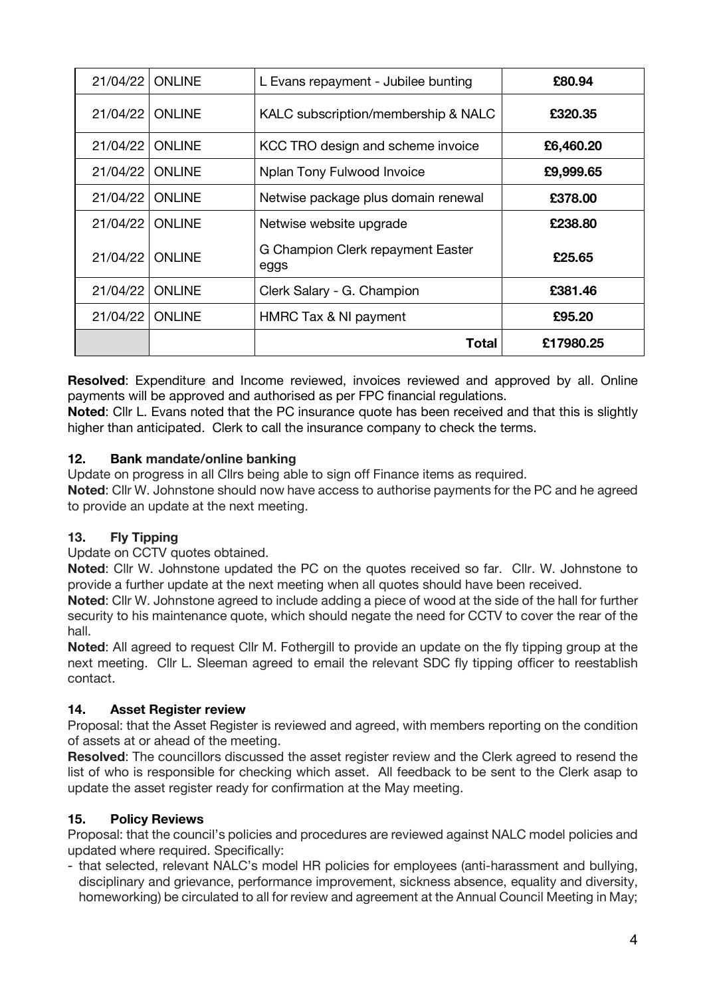| 21/04/22 | ONLINE         | L Evans repayment - Jubilee bunting       | £80.94    |
|----------|----------------|-------------------------------------------|-----------|
| 21/04/22 | <b>ONLINE</b>  | KALC subscription/membership & NALC       | £320.35   |
| 21/04/22 | <b>ONLINE</b>  | KCC TRO design and scheme invoice         | £6,460.20 |
| 21/04/22 | <b>ONLINE</b>  | Nplan Tony Fulwood Invoice                | £9,999.65 |
| 21/04/22 | ONLINE         | Netwise package plus domain renewal       | £378,00   |
| 21/04/22 | <b>ONLINE</b>  | Netwise website upgrade                   | £238.80   |
| 21/04/22 | <b>ONI INF</b> | G Champion Clerk repayment Easter<br>eggs | £25.65    |
| 21/04/22 | ONLINE         | Clerk Salary - G. Champion                | £381.46   |
| 21/04/22 | ONLINE         | HMRC Tax & NI payment                     | £95.20    |
|          |                | Total                                     | £17980.25 |

**Resolved**: Expenditure and Income reviewed, invoices reviewed and approved by all. Online payments will be approved and authorised as per FPC financial regulations.

**Noted**: Cllr L. Evans noted that the PC insurance quote has been received and that this is slightly higher than anticipated. Clerk to call the insurance company to check the terms.

# **12. Bank mandate/online banking**

Update on progress in all Cllrs being able to sign off Finance items as required. **Noted**: Cllr W. Johnstone should now have access to authorise payments for the PC and he agreed to provide an update at the next meeting.

# **13. Fly Tipping**

Update on CCTV quotes obtained.

**Noted**: Cllr W. Johnstone updated the PC on the quotes received so far. Cllr. W. Johnstone to provide a further update at the next meeting when all quotes should have been received.

**Noted**: Cllr W. Johnstone agreed to include adding a piece of wood at the side of the hall for further security to his maintenance quote, which should negate the need for CCTV to cover the rear of the hall.

**Noted**: All agreed to request Cllr M. Fothergill to provide an update on the fly tipping group at the next meeting. Cllr L. Sleeman agreed to email the relevant SDC fly tipping officer to reestablish contact.

### **14. Asset Register review**

Proposal: that the Asset Register is reviewed and agreed, with members reporting on the condition of assets at or ahead of the meeting.

**Resolved**: The councillors discussed the asset register review and the Clerk agreed to resend the list of who is responsible for checking which asset. All feedback to be sent to the Clerk asap to update the asset register ready for confirmation at the May meeting.

# **15. Policy Reviews**

Proposal: that the council's policies and procedures are reviewed against NALC model policies and updated where required. Specifically:

- that selected, relevant NALC's model HR policies for employees (anti-harassment and bullying, disciplinary and grievance, performance improvement, sickness absence, equality and diversity, homeworking) be circulated to all for review and agreement at the Annual Council Meeting in May;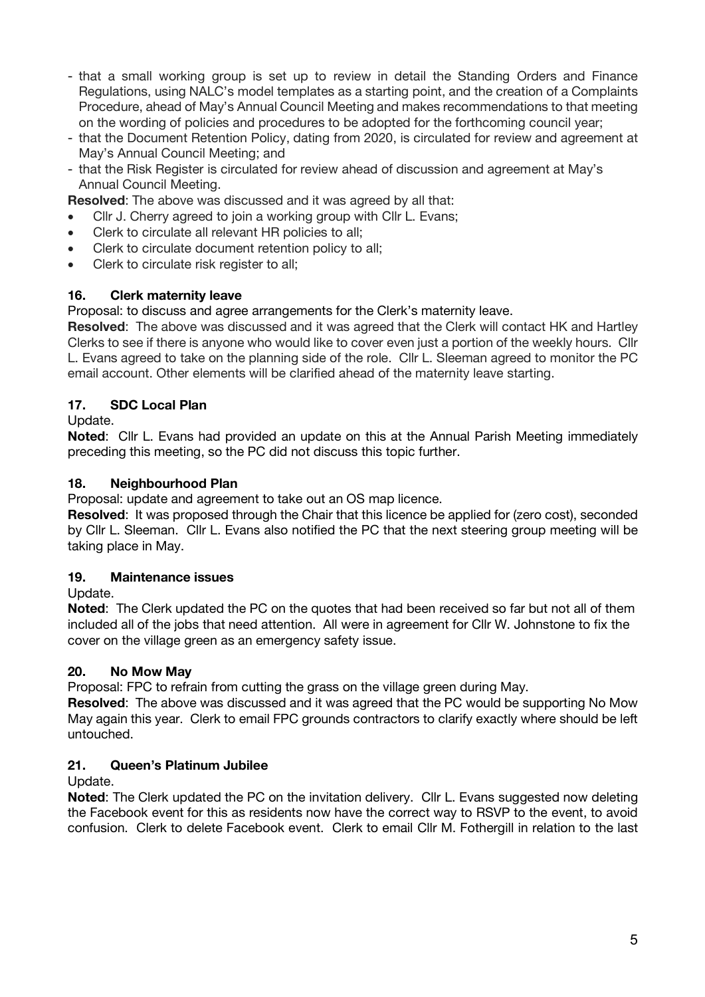- that a small working group is set up to review in detail the Standing Orders and Finance Regulations, using NALC's model templates as a starting point, and the creation of a Complaints Procedure, ahead of May's Annual Council Meeting and makes recommendations to that meeting on the wording of policies and procedures to be adopted for the forthcoming council year;
- that the Document Retention Policy, dating from 2020, is circulated for review and agreement at May's Annual Council Meeting; and
- that the Risk Register is circulated for review ahead of discussion and agreement at May's Annual Council Meeting.
- **Resolved**: The above was discussed and it was agreed by all that:
- Cllr J. Cherry agreed to join a working group with Cllr L. Evans;
- Clerk to circulate all relevant HR policies to all;
- Clerk to circulate document retention policy to all;
- Clerk to circulate risk register to all;

### **16. Clerk maternity leave**

Proposal: to discuss and agree arrangements for the Clerk's maternity leave.

**Resolved**: The above was discussed and it was agreed that the Clerk will contact HK and Hartley Clerks to see if there is anyone who would like to cover even just a portion of the weekly hours. Cllr L. Evans agreed to take on the planning side of the role. Cllr L. Sleeman agreed to monitor the PC email account. Other elements will be clarified ahead of the maternity leave starting.

### **17. SDC Local Plan**

Update.

**Noted**: Cllr L. Evans had provided an update on this at the Annual Parish Meeting immediately preceding this meeting, so the PC did not discuss this topic further.

### **18. Neighbourhood Plan**

Proposal: update and agreement to take out an OS map licence.

**Resolved**: It was proposed through the Chair that this licence be applied for (zero cost), seconded by Cllr L. Sleeman. Cllr L. Evans also notified the PC that the next steering group meeting will be taking place in May.

#### **19. Maintenance issues**

Update.

**Noted**: The Clerk updated the PC on the quotes that had been received so far but not all of them included all of the jobs that need attention. All were in agreement for Cllr W. Johnstone to fix the cover on the village green as an emergency safety issue.

### **20. No Mow May**

Proposal: FPC to refrain from cutting the grass on the village green during May.

**Resolved**: The above was discussed and it was agreed that the PC would be supporting No Mow May again this year. Clerk to email FPC grounds contractors to clarify exactly where should be left untouched.

#### **21. Queen's Platinum Jubilee**

Update.

**Noted**: The Clerk updated the PC on the invitation delivery. Cllr L. Evans suggested now deleting the Facebook event for this as residents now have the correct way to RSVP to the event, to avoid confusion. Clerk to delete Facebook event. Clerk to email Cllr M. Fothergill in relation to the last